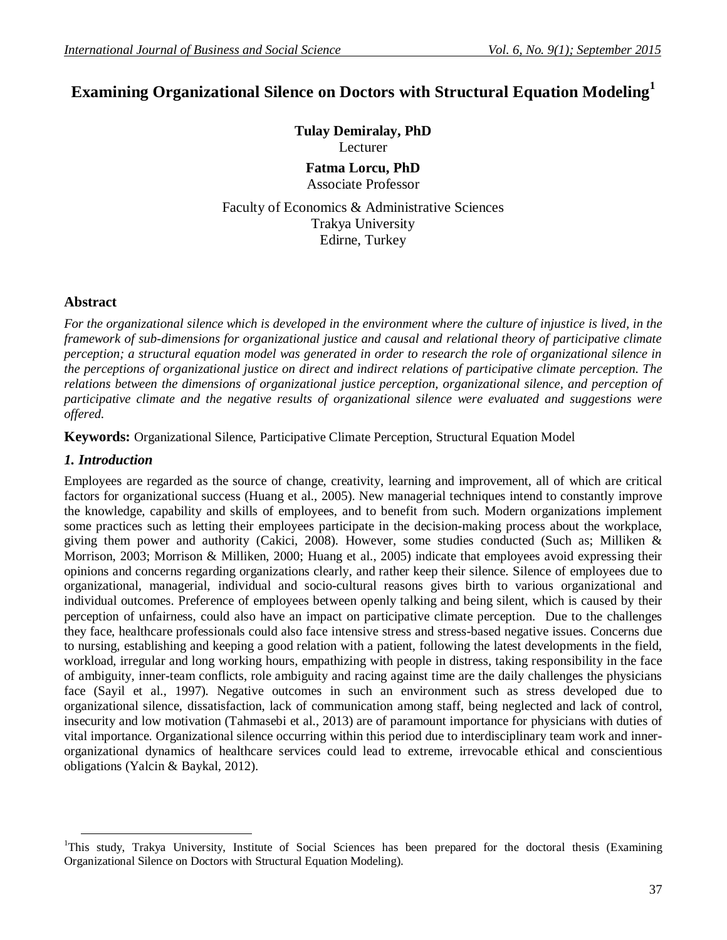# **Examining Organizational Silence on Doctors with Structural Equation Modeling<sup>1</sup>**

**Tulay Demiralay, PhD** Lecturer **Fatma Lorcu, PhD** Associate Professor

Faculty of Economics & Administrative Sciences Trakya University Edirne, Turkey

#### **Abstract**

*For the organizational silence which is developed in the environment where the culture of injustice is lived, in the framework of sub-dimensions for organizational justice and causal and relational theory of participative climate perception; a structural equation model was generated in order to research the role of organizational silence in the perceptions of organizational justice on direct and indirect relations of participative climate perception. The relations between the dimensions of organizational justice perception, organizational silence, and perception of participative climate and the negative results of organizational silence were evaluated and suggestions were offered.* 

**Keywords:** Organizational Silence, Participative Climate Perception, Structural Equation Model

#### *1. Introduction*

**.** 

Employees are regarded as the source of change, creativity, learning and improvement, all of which are critical factors for organizational success (Huang et al., 2005). New managerial techniques intend to constantly improve the knowledge, capability and skills of employees, and to benefit from such. Modern organizations implement some practices such as letting their employees participate in the decision-making process about the workplace, giving them power and authority (Cakici, 2008). However, some studies conducted (Such as; Milliken & Morrison, 2003; Morrison & Milliken, 2000; Huang et al., 2005) indicate that employees avoid expressing their opinions and concerns regarding organizations clearly, and rather keep their silence. Silence of employees due to organizational, managerial, individual and socio-cultural reasons gives birth to various organizational and individual outcomes. Preference of employees between openly talking and being silent, which is caused by their perception of unfairness, could also have an impact on participative climate perception. Due to the challenges they face, healthcare professionals could also face intensive stress and stress-based negative issues. Concerns due to nursing, establishing and keeping a good relation with a patient, following the latest developments in the field, workload, irregular and long working hours, empathizing with people in distress, taking responsibility in the face of ambiguity, inner-team conflicts, role ambiguity and racing against time are the daily challenges the physicians face (Sayil et al., 1997). Negative outcomes in such an environment such as stress developed due to organizational silence, dissatisfaction, lack of communication among staff, being neglected and lack of control, insecurity and low motivation (Tahmasebi et al., 2013) are of paramount importance for physicians with duties of vital importance. Organizational silence occurring within this period due to interdisciplinary team work and innerorganizational dynamics of healthcare services could lead to extreme, irrevocable ethical and conscientious obligations (Yalcin & Baykal, 2012).

<sup>1</sup>This study, Trakya University, Institute of Social Sciences has been prepared for the doctoral thesis (Examining Organizational Silence on Doctors with Structural Equation Modeling).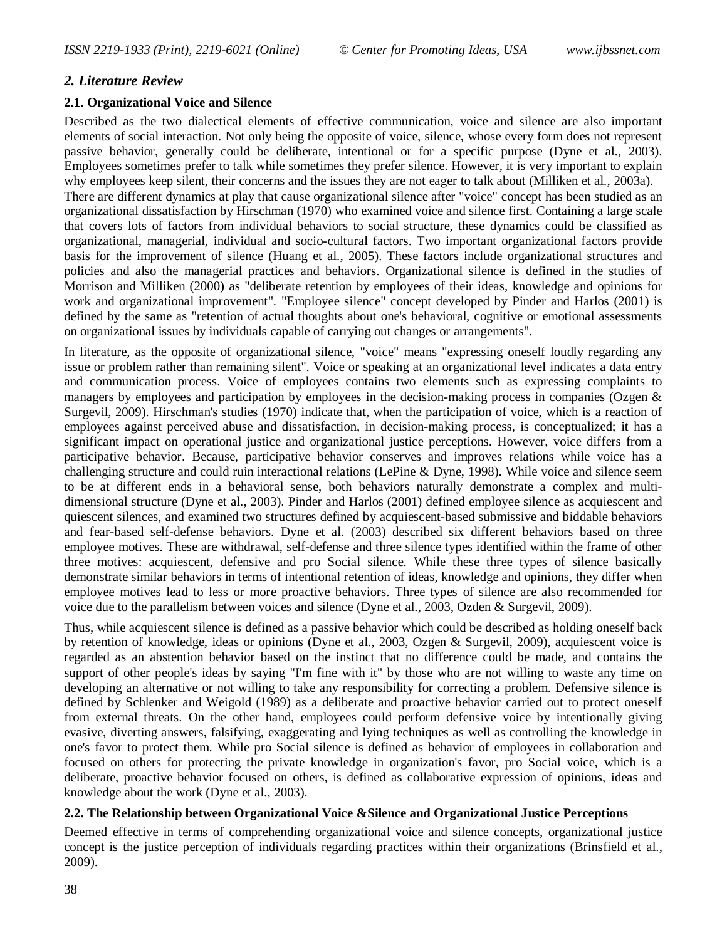## *2. Literature Review*

#### **2.1. Organizational Voice and Silence**

Described as the two dialectical elements of effective communication, voice and silence are also important elements of social interaction. Not only being the opposite of voice, silence, whose every form does not represent passive behavior, generally could be deliberate, intentional or for a specific purpose (Dyne et al., 2003). Employees sometimes prefer to talk while sometimes they prefer silence. However, it is very important to explain why employees keep silent, their concerns and the issues they are not eager to talk about (Milliken et al., 2003a). There are different dynamics at play that cause organizational silence after "voice" concept has been studied as an organizational dissatisfaction by Hirschman (1970) who examined voice and silence first. Containing a large scale that covers lots of factors from individual behaviors to social structure, these dynamics could be classified as organizational, managerial, individual and socio-cultural factors. Two important organizational factors provide basis for the improvement of silence (Huang et al., 2005). These factors include organizational structures and policies and also the managerial practices and behaviors. Organizational silence is defined in the studies of Morrison and Milliken (2000) as "deliberate retention by employees of their ideas, knowledge and opinions for work and organizational improvement". "Employee silence" concept developed by Pinder and Harlos (2001) is defined by the same as "retention of actual thoughts about one's behavioral, cognitive or emotional assessments on organizational issues by individuals capable of carrying out changes or arrangements".

In literature, as the opposite of organizational silence, "voice" means "expressing oneself loudly regarding any issue or problem rather than remaining silent". Voice or speaking at an organizational level indicates a data entry and communication process. Voice of employees contains two elements such as expressing complaints to managers by employees and participation by employees in the decision-making process in companies (Ozgen & Surgevil, 2009). Hirschman's studies (1970) indicate that, when the participation of voice, which is a reaction of employees against perceived abuse and dissatisfaction, in decision-making process, is conceptualized; it has a significant impact on operational justice and organizational justice perceptions. However, voice differs from a participative behavior. Because, participative behavior conserves and improves relations while voice has a challenging structure and could ruin interactional relations (LePine & Dyne, 1998). While voice and silence seem to be at different ends in a behavioral sense, both behaviors naturally demonstrate a complex and multidimensional structure (Dyne et al., 2003). Pinder and Harlos (2001) defined employee silence as acquiescent and quiescent silences, and examined two structures defined by acquiescent-based submissive and biddable behaviors and fear-based self-defense behaviors. Dyne et al. (2003) described six different behaviors based on three employee motives. These are withdrawal, self-defense and three silence types identified within the frame of other three motives: acquiescent, defensive and pro Social silence. While these three types of silence basically demonstrate similar behaviors in terms of intentional retention of ideas, knowledge and opinions, they differ when employee motives lead to less or more proactive behaviors. Three types of silence are also recommended for voice due to the parallelism between voices and silence (Dyne et al., 2003, Ozden & Surgevil, 2009).

Thus, while acquiescent silence is defined as a passive behavior which could be described as holding oneself back by retention of knowledge, ideas or opinions (Dyne et al., 2003, Ozgen & Surgevil, 2009), acquiescent voice is regarded as an abstention behavior based on the instinct that no difference could be made, and contains the support of other people's ideas by saying "I'm fine with it" by those who are not willing to waste any time on developing an alternative or not willing to take any responsibility for correcting a problem. Defensive silence is defined by Schlenker and Weigold (1989) as a deliberate and proactive behavior carried out to protect oneself from external threats. On the other hand, employees could perform defensive voice by intentionally giving evasive, diverting answers, falsifying, exaggerating and lying techniques as well as controlling the knowledge in one's favor to protect them. While pro Social silence is defined as behavior of employees in collaboration and focused on others for protecting the private knowledge in organization's favor, pro Social voice, which is a deliberate, proactive behavior focused on others, is defined as collaborative expression of opinions, ideas and knowledge about the work (Dyne et al., 2003).

### **2.2. The Relationship between Organizational Voice &Silence and Organizational Justice Perceptions**

Deemed effective in terms of comprehending organizational voice and silence concepts, organizational justice concept is the justice perception of individuals regarding practices within their organizations (Brinsfield et al., 2009).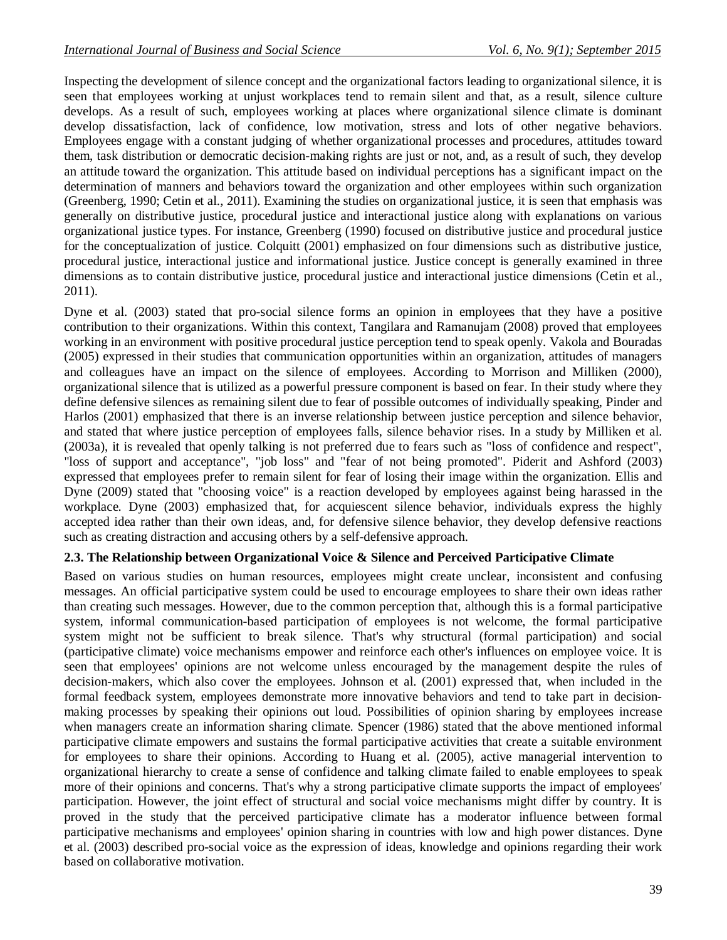Inspecting the development of silence concept and the organizational factors leading to organizational silence, it is seen that employees working at unjust workplaces tend to remain silent and that, as a result, silence culture develops. As a result of such, employees working at places where organizational silence climate is dominant develop dissatisfaction, lack of confidence, low motivation, stress and lots of other negative behaviors. Employees engage with a constant judging of whether organizational processes and procedures, attitudes toward them, task distribution or democratic decision-making rights are just or not, and, as a result of such, they develop an attitude toward the organization. This attitude based on individual perceptions has a significant impact on the determination of manners and behaviors toward the organization and other employees within such organization (Greenberg, 1990; Cetin et al., 2011). Examining the studies on organizational justice, it is seen that emphasis was generally on distributive justice, procedural justice and interactional justice along with explanations on various organizational justice types. For instance, Greenberg (1990) focused on distributive justice and procedural justice for the conceptualization of justice. Colquitt (2001) emphasized on four dimensions such as distributive justice, procedural justice, interactional justice and informational justice. Justice concept is generally examined in three dimensions as to contain distributive justice, procedural justice and interactional justice dimensions (Cetin et al., 2011).

Dyne et al. (2003) stated that pro-social silence forms an opinion in employees that they have a positive contribution to their organizations. Within this context, Tangilara and Ramanujam (2008) proved that employees working in an environment with positive procedural justice perception tend to speak openly. Vakola and Bouradas (2005) expressed in their studies that communication opportunities within an organization, attitudes of managers and colleagues have an impact on the silence of employees. According to Morrison and Milliken (2000), organizational silence that is utilized as a powerful pressure component is based on fear. In their study where they define defensive silences as remaining silent due to fear of possible outcomes of individually speaking, Pinder and Harlos (2001) emphasized that there is an inverse relationship between justice perception and silence behavior, and stated that where justice perception of employees falls, silence behavior rises. In a study by Milliken et al. (2003a), it is revealed that openly talking is not preferred due to fears such as "loss of confidence and respect", "loss of support and acceptance", "job loss" and "fear of not being promoted". Piderit and Ashford (2003) expressed that employees prefer to remain silent for fear of losing their image within the organization. Ellis and Dyne (2009) stated that "choosing voice" is a reaction developed by employees against being harassed in the workplace. Dyne (2003) emphasized that, for acquiescent silence behavior, individuals express the highly accepted idea rather than their own ideas, and, for defensive silence behavior, they develop defensive reactions such as creating distraction and accusing others by a self-defensive approach.

### **2.3. The Relationship between Organizational Voice & Silence and Perceived Participative Climate**

Based on various studies on human resources, employees might create unclear, inconsistent and confusing messages. An official participative system could be used to encourage employees to share their own ideas rather than creating such messages. However, due to the common perception that, although this is a formal participative system, informal communication-based participation of employees is not welcome, the formal participative system might not be sufficient to break silence. That's why structural (formal participation) and social (participative climate) voice mechanisms empower and reinforce each other's influences on employee voice. It is seen that employees' opinions are not welcome unless encouraged by the management despite the rules of decision-makers, which also cover the employees. Johnson et al. (2001) expressed that, when included in the formal feedback system, employees demonstrate more innovative behaviors and tend to take part in decisionmaking processes by speaking their opinions out loud. Possibilities of opinion sharing by employees increase when managers create an information sharing climate. Spencer (1986) stated that the above mentioned informal participative climate empowers and sustains the formal participative activities that create a suitable environment for employees to share their opinions. According to Huang et al. (2005), active managerial intervention to organizational hierarchy to create a sense of confidence and talking climate failed to enable employees to speak more of their opinions and concerns. That's why a strong participative climate supports the impact of employees' participation. However, the joint effect of structural and social voice mechanisms might differ by country. It is proved in the study that the perceived participative climate has a moderator influence between formal participative mechanisms and employees' opinion sharing in countries with low and high power distances. Dyne et al. (2003) described pro-social voice as the expression of ideas, knowledge and opinions regarding their work based on collaborative motivation.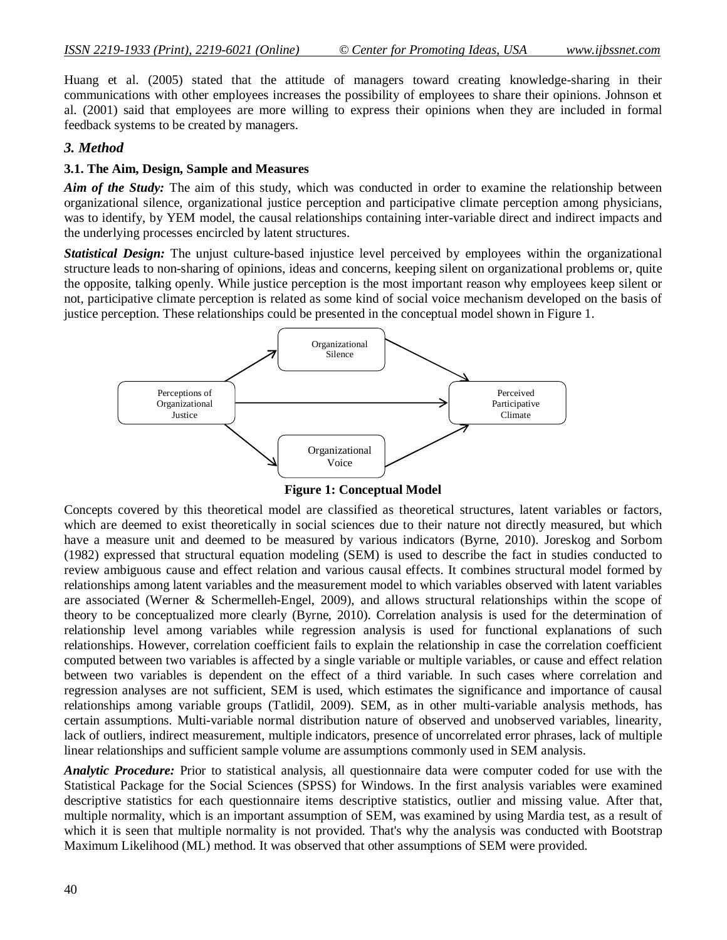Huang et al. (2005) stated that the attitude of managers toward creating knowledge-sharing in their communications with other employees increases the possibility of employees to share their opinions. Johnson et al. (2001) said that employees are more willing to express their opinions when they are included in formal feedback systems to be created by managers.

#### *3. Method*

#### **3.1. The Aim, Design, Sample and Measures**

*Aim of the Study:* The aim of this study, which was conducted in order to examine the relationship between organizational silence, organizational justice perception and participative climate perception among physicians, was to identify, by YEM model, the causal relationships containing inter-variable direct and indirect impacts and the underlying processes encircled by latent structures.

*Statistical Design:* The unjust culture-based injustice level perceived by employees within the organizational structure leads to non-sharing of opinions, ideas and concerns, keeping silent on organizational problems or, quite the opposite, talking openly. While justice perception is the most important reason why employees keep silent or not, participative climate perception is related as some kind of social voice mechanism developed on the basis of justice perception. These relationships could be presented in the conceptual model shown in Figure 1.



**Figure 1: Conceptual Model**

Concepts covered by this theoretical model are classified as theoretical structures, latent variables or factors, which are deemed to exist theoretically in social sciences due to their nature not directly measured, but which have a measure unit and deemed to be measured by various indicators (Byrne, 2010). Joreskog and Sorbom (1982) expressed that structural equation modeling (SEM) is used to describe the fact in studies conducted to review ambiguous cause and effect relation and various causal effects. It combines structural model formed by relationships among latent variables and the measurement model to which variables observed with latent variables are associated (Werner & Schermelleh-Engel, 2009), and allows structural relationships within the scope of theory to be conceptualized more clearly (Byrne, 2010). Correlation analysis is used for the determination of relationship level among variables while regression analysis is used for functional explanations of such relationships. However, correlation coefficient fails to explain the relationship in case the correlation coefficient computed between two variables is affected by a single variable or multiple variables, or cause and effect relation between two variables is dependent on the effect of a third variable. In such cases where correlation and regression analyses are not sufficient, SEM is used, which estimates the significance and importance of causal relationships among variable groups (Tatlidil, 2009). SEM, as in other multi-variable analysis methods, has certain assumptions. Multi-variable normal distribution nature of observed and unobserved variables, linearity, lack of outliers, indirect measurement, multiple indicators, presence of uncorrelated error phrases, lack of multiple linear relationships and sufficient sample volume are assumptions commonly used in SEM analysis.

*Analytic Procedure:* Prior to statistical analysis, all questionnaire data were computer coded for use with the Statistical Package for the Social Sciences (SPSS) for Windows. In the first analysis variables were examined descriptive statistics for each questionnaire items descriptive statistics, outlier and missing value. After that, multiple normality, which is an important assumption of SEM, was examined by using Mardia test, as a result of which it is seen that multiple normality is not provided. That's why the analysis was conducted with Bootstrap Maximum Likelihood (ML) method. It was observed that other assumptions of SEM were provided.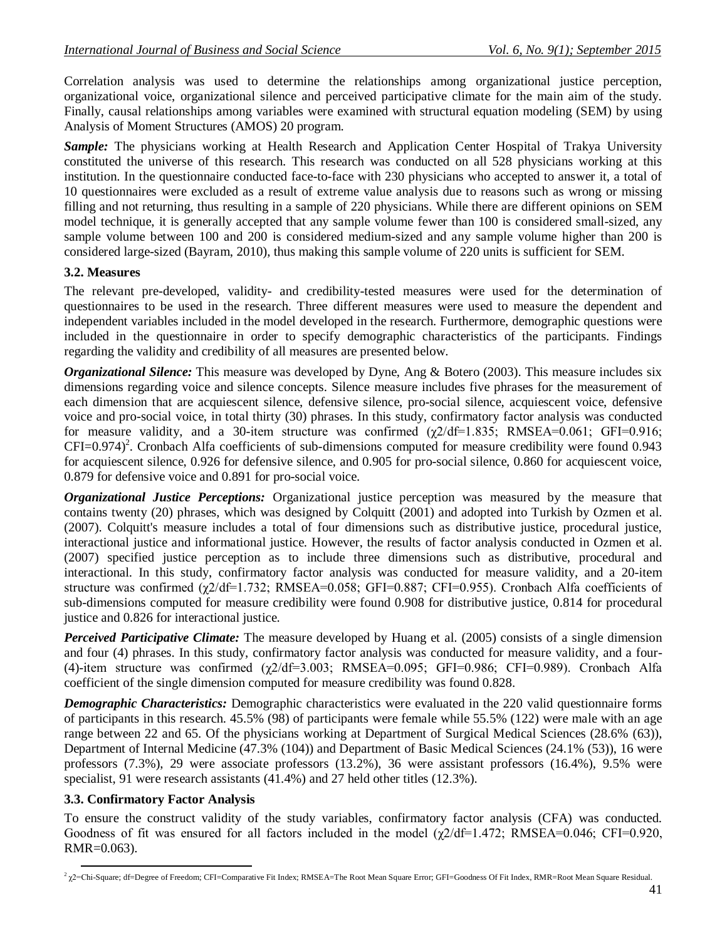Correlation analysis was used to determine the relationships among organizational justice perception, organizational voice, organizational silence and perceived participative climate for the main aim of the study. Finally, causal relationships among variables were examined with structural equation modeling (SEM) by using Analysis of Moment Structures (AMOS) 20 program.

*Sample:* The physicians working at Health Research and Application Center Hospital of Trakya University constituted the universe of this research. This research was conducted on all 528 physicians working at this institution. In the questionnaire conducted face-to-face with 230 physicians who accepted to answer it, a total of 10 questionnaires were excluded as a result of extreme value analysis due to reasons such as wrong or missing filling and not returning, thus resulting in a sample of 220 physicians. While there are different opinions on SEM model technique, it is generally accepted that any sample volume fewer than 100 is considered small-sized, any sample volume between 100 and 200 is considered medium-sized and any sample volume higher than 200 is considered large-sized (Bayram, 2010), thus making this sample volume of 220 units is sufficient for SEM.

#### **3.2. Measures**

The relevant pre-developed, validity- and credibility-tested measures were used for the determination of questionnaires to be used in the research. Three different measures were used to measure the dependent and independent variables included in the model developed in the research. Furthermore, demographic questions were included in the questionnaire in order to specify demographic characteristics of the participants. Findings regarding the validity and credibility of all measures are presented below.

*Organizational Silence:* This measure was developed by Dyne, Ang & Botero (2003). This measure includes six dimensions regarding voice and silence concepts. Silence measure includes five phrases for the measurement of each dimension that are acquiescent silence, defensive silence, pro-social silence, acquiescent voice, defensive voice and pro-social voice, in total thirty (30) phrases. In this study, confirmatory factor analysis was conducted for measure validity, and a 30-item structure was confirmed  $(\gamma 2/df=1.835)$ ; RMSEA=0.061; GFI=0.916;  $CFI=0.974$ <sup>2</sup>. Cronbach Alfa coefficients of sub-dimensions computed for measure credibility were found 0.943 for acquiescent silence, 0.926 for defensive silence, and 0.905 for pro-social silence, 0.860 for acquiescent voice, 0.879 for defensive voice and 0.891 for pro-social voice.

*Organizational Justice Perceptions:* Organizational justice perception was measured by the measure that contains twenty (20) phrases, which was designed by Colquitt (2001) and adopted into Turkish by Ozmen et al. (2007). Colquitt's measure includes a total of four dimensions such as distributive justice, procedural justice, interactional justice and informational justice. However, the results of factor analysis conducted in Ozmen et al. (2007) specified justice perception as to include three dimensions such as distributive, procedural and interactional. In this study, confirmatory factor analysis was conducted for measure validity, and a 20-item structure was confirmed (χ2/df=1.732; RMSEA=0.058; GFI=0.887; CFI=0.955). Cronbach Alfa coefficients of sub-dimensions computed for measure credibility were found 0.908 for distributive justice, 0.814 for procedural justice and 0.826 for interactional justice.

*Perceived Participative Climate:* The measure developed by Huang et al. (2005) consists of a single dimension and four (4) phrases. In this study, confirmatory factor analysis was conducted for measure validity, and a four- (4)-item structure was confirmed  $(\gamma 2/df=3.003; RMSEA=0.095; GFI=0.986; CFI=0.989)$ . Cronbach Alfa coefficient of the single dimension computed for measure credibility was found 0.828.

*Demographic Characteristics:* Demographic characteristics were evaluated in the 220 valid questionnaire forms of participants in this research. 45.5% (98) of participants were female while 55.5% (122) were male with an age range between 22 and 65. Of the physicians working at Department of Surgical Medical Sciences (28.6% (63)), Department of Internal Medicine (47.3% (104)) and Department of Basic Medical Sciences (24.1% (53)), 16 were professors (7.3%), 29 were associate professors (13.2%), 36 were assistant professors (16.4%), 9.5% were specialist, 91 were research assistants (41.4%) and 27 held other titles (12.3%).

### **3.3. Confirmatory Factor Analysis**

To ensure the construct validity of the study variables, confirmatory factor analysis (CFA) was conducted. Goodness of fit was ensured for all factors included in the model  $(\gamma/2/df=1.472)$ ; RMSEA=0.046; CFI=0.920, RMR=0.063).

**<sup>.</sup>**  $^2$   $\chi$ 2=Chi-Square; df=Degree of Freedom; CFI=Comparative Fit Index; RMSEA=The Root Mean Square Error; GFI=Goodness Of Fit Index, RMR=Root Mean Square Residual.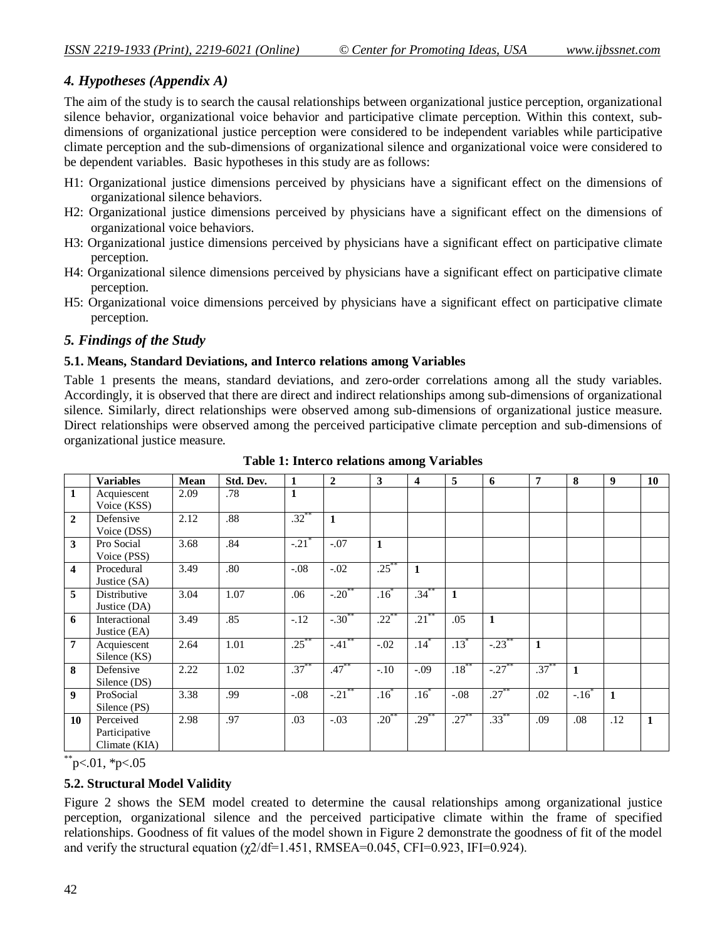## *4. Hypotheses (Appendix A)*

The aim of the study is to search the causal relationships between organizational justice perception, organizational silence behavior, organizational voice behavior and participative climate perception. Within this context, subdimensions of organizational justice perception were considered to be independent variables while participative climate perception and the sub-dimensions of organizational silence and organizational voice were considered to be dependent variables. Basic hypotheses in this study are as follows:

- H1: Organizational justice dimensions perceived by physicians have a significant effect on the dimensions of organizational silence behaviors.
- H2: Organizational justice dimensions perceived by physicians have a significant effect on the dimensions of organizational voice behaviors.
- H3: Organizational justice dimensions perceived by physicians have a significant effect on participative climate perception.
- H4: Organizational silence dimensions perceived by physicians have a significant effect on participative climate perception.
- H5: Organizational voice dimensions perceived by physicians have a significant effect on participative climate perception.

## *5. Findings of the Study*

#### **5.1. Means, Standard Deviations, and Interco relations among Variables**

Table 1 presents the means, standard deviations, and zero-order correlations among all the study variables. Accordingly, it is observed that there are direct and indirect relationships among sub-dimensions of organizational silence. Similarly, direct relationships were observed among sub-dimensions of organizational justice measure. Direct relationships were observed among the perceived participative climate perception and sub-dimensions of organizational justice measure.

|                         | <b>Variables</b> | <b>Mean</b> | Std. Dev. | $\mathbf{1}$ | $\overline{2}$      | 3        | $\overline{\mathbf{4}}$ | 5               | 6        | 7            | 8      | 9              | 10 |
|-------------------------|------------------|-------------|-----------|--------------|---------------------|----------|-------------------------|-----------------|----------|--------------|--------|----------------|----|
| $\mathbf{1}$            | Acquiescent      | 2.09        | .78       | 1            |                     |          |                         |                 |          |              |        |                |    |
|                         | Voice (KSS)      |             |           |              |                     |          |                         |                 |          |              |        |                |    |
| $\overline{2}$          | Defensive        | 2.12        | .88       | $.32***$     | $\mathbf{1}$        |          |                         |                 |          |              |        |                |    |
|                         | Voice (DSS)      |             |           |              |                     |          |                         |                 |          |              |        |                |    |
| 3                       | Pro Social       | 3.68        | .84       | $-.21$       | $-.07$              | 1        |                         |                 |          |              |        |                |    |
|                         | Voice (PSS)      |             |           |              |                     |          |                         |                 |          |              |        |                |    |
| $\overline{\mathbf{4}}$ | Procedural       | 3.49        | .80       | $-.08$       | $-.02$              | $.25***$ | 1                       |                 |          |              |        |                |    |
|                         | Justice (SA)     |             |           |              |                     |          |                         |                 |          |              |        |                |    |
| 5                       | Distributive     | 3.04        | 1.07      | .06          | $-.20$              | $.16^*$  | $.34*$                  | 1               |          |              |        |                |    |
|                         | Justice (DA)     |             |           |              |                     |          |                         |                 |          |              |        |                |    |
| 6                       | Interactional    | 3.49        | .85       | $-.12$       | $-.30^{**}$         | $.22***$ | $.21***$                | .05             | 1        |              |        |                |    |
|                         | Justice (EA)     |             |           |              |                     |          |                         |                 |          |              |        |                |    |
| $\overline{7}$          | Acquiescent      | 2.64        | 1.01      | $.25***$     | $-.41$ <sup>*</sup> | $-.02$   | $.14$ <sup>*</sup>      | $.13^{\degree}$ | $-.23$   | $\mathbf{1}$ |        |                |    |
|                         | Silence (KS)     |             |           |              |                     |          |                         |                 |          |              |        |                |    |
| 8                       | Defensive        | 2.22        | 1.02      | $.37^{**}$   | $.47***$            | $-.10$   | $-.09$                  | $.18***$        | $-.27$   | $.37***$     | 1      |                |    |
|                         | Silence (DS)     |             |           |              |                     |          |                         |                 |          |              |        |                |    |
| 9                       | ProSocial        | 3.38        | .99       | $-.08$       | $-.21$ <sup>*</sup> | .16      | $.16^{\degree}$         | $-.08$          | $.27$ ** | .02          | $-.16$ | $\blacksquare$ |    |
|                         | Silence (PS)     |             |           |              |                     |          |                         |                 |          |              |        |                |    |
| 10                      | Perceived        | 2.98        | .97       | .03          | $-.03$              | $.20***$ | $.29***$                | $.27***$        | $.33***$ | .09          | .08    | .12            | 1  |
|                         | Participative    |             |           |              |                     |          |                         |                 |          |              |        |                |    |
|                         | Climate (KIA)    |             |           |              |                     |          |                         |                 |          |              |        |                |    |

**Table 1: Interco relations among Variables**

 $*$  $p<.01$ ,  $*p<.05$ 

### **5.2. Structural Model Validity**

Figure 2 shows the SEM model created to determine the causal relationships among organizational justice perception, organizational silence and the perceived participative climate within the frame of specified relationships. Goodness of fit values of the model shown in Figure 2 demonstrate the goodness of fit of the model and verify the structural equation  $(\chi/2df=1.451, RMSEA=0.045, CFI=0.923, IFI=0.924)$ .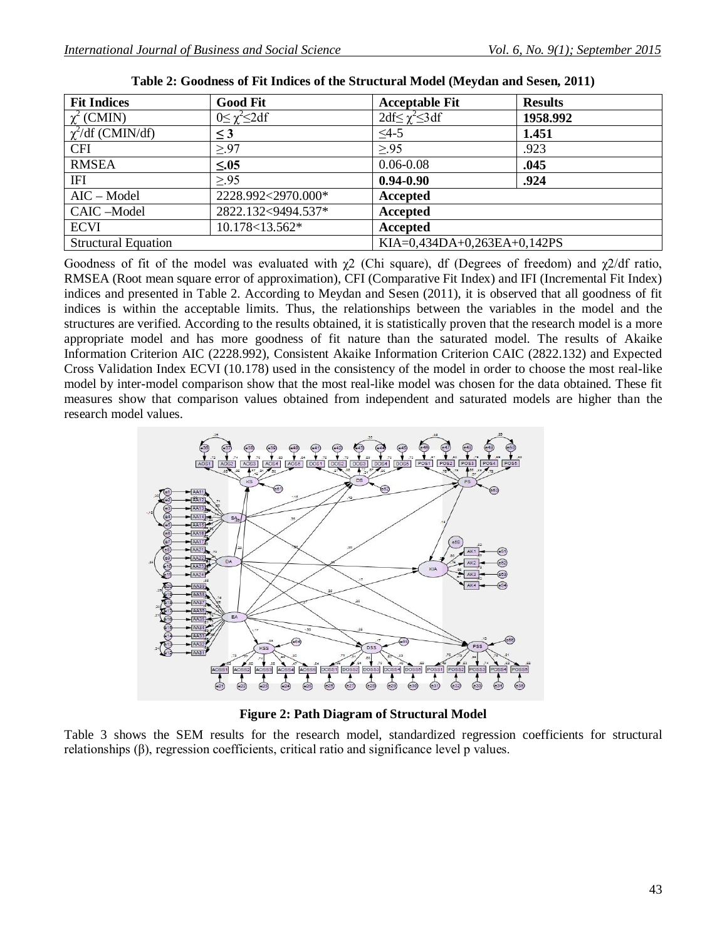| <b>Fit Indices</b>         | <b>Good Fit</b>          | <b>Acceptable Fit</b>          | <b>Results</b> |  |
|----------------------------|--------------------------|--------------------------------|----------------|--|
| $\chi^2$ (CMIN)            | $0 \leq \chi^2 \leq 2df$ | $2df \leq \gamma^2 \leq 3df$   | 1958.992       |  |
| $\chi^2$ /df (CMIN/df)     | $\leq$ 3                 | $\leq$ 4-5                     | 1.451          |  |
| <b>CFI</b>                 | > 97                     | > 95                           | .923           |  |
| <b>RMSEA</b>               | $\leq 0.05$              | $0.06 - 0.08$                  | .045           |  |
| IFI                        | > 95                     | $0.94 - 0.90$                  | .924           |  |
| $AIC - Model$              | 2228.992<2970.000*       | Accepted                       |                |  |
| CAIC-Model                 | 2822.132<9494.537*       | Accepted                       |                |  |
| <b>ECVI</b>                | 10.178<13.562*           | Accepted                       |                |  |
| <b>Structural Equation</b> |                          | KIA= $0,434DA+0,263EA+0,142PS$ |                |  |

Goodness of fit of the model was evaluated with  $\chi$ 2 (Chi square), df (Degrees of freedom) and  $\chi$ 2/df ratio, RMSEA (Root mean square error of approximation), CFI (Comparative Fit Index) and IFI (Incremental Fit Index) indices and presented in Table 2. According to Meydan and Sesen (2011), it is observed that all goodness of fit indices is within the acceptable limits. Thus, the relationships between the variables in the model and the structures are verified. According to the results obtained, it is statistically proven that the research model is a more appropriate model and has more goodness of fit nature than the saturated model. The results of Akaike Information Criterion AIC (2228.992), Consistent Akaike Information Criterion CAIC (2822.132) and Expected Cross Validation Index ECVI (10.178) used in the consistency of the model in order to choose the most real-like model by inter-model comparison show that the most real-like model was chosen for the data obtained. These fit measures show that comparison values obtained from independent and saturated models are higher than the research model values.



**Figure 2: Path Diagram of Structural Model**

Table 3 shows the SEM results for the research model, standardized regression coefficients for structural relationships (β), regression coefficients, critical ratio and significance level p values.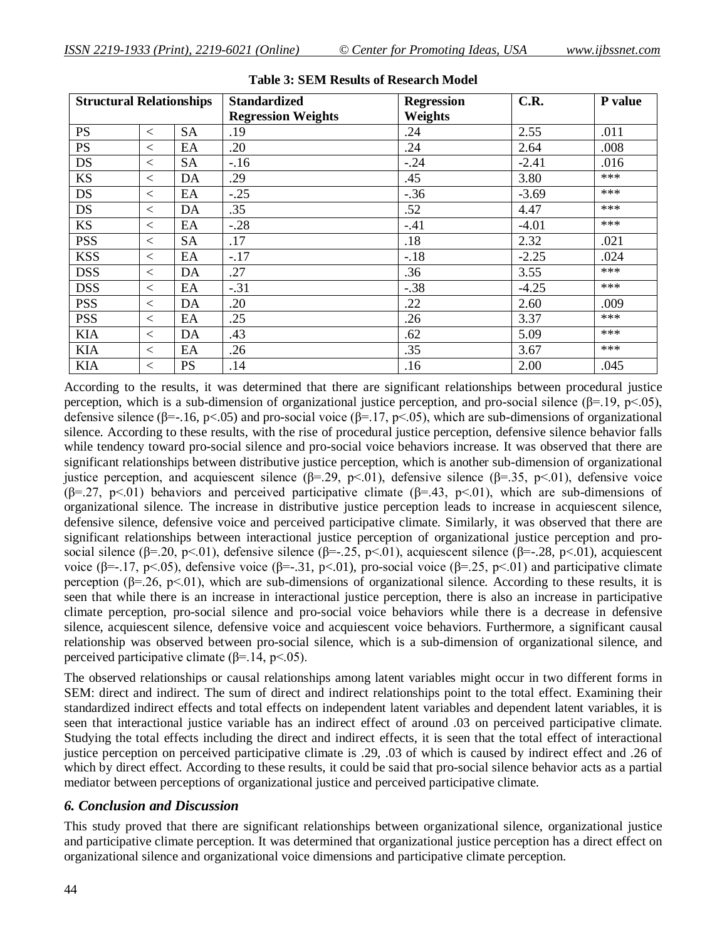| <b>Structural Relationships</b> |       |           | <b>Standardized</b>       | <b>Regression</b> | C.R.    | P value |
|---------------------------------|-------|-----------|---------------------------|-------------------|---------|---------|
|                                 |       |           | <b>Regression Weights</b> | Weights           |         |         |
| <b>PS</b>                       | $\lt$ | <b>SA</b> | .19                       | .24               | 2.55    | .011    |
| <b>PS</b>                       | $\lt$ | EA        | .20                       | .24               | 2.64    | .008    |
| <b>DS</b>                       | $\lt$ | <b>SA</b> | $-16$                     | $-.24$            | $-2.41$ | .016    |
| <b>KS</b>                       | $\lt$ | DA        | .29                       | .45               | 3.80    | ***     |
| <b>DS</b>                       | $\lt$ | EA        | $-.25$                    | $-.36$            | $-3.69$ | ***     |
| <b>DS</b>                       | $\lt$ | DA        | .35                       | .52               | 4.47    | ***     |
| <b>KS</b>                       | $\lt$ | EA        | $-.28$                    | $-.41$            | $-4.01$ | ***     |
| <b>PSS</b>                      | $\lt$ | <b>SA</b> | .17                       | .18               | 2.32    | .021    |
| <b>KSS</b>                      | $\lt$ | EA        | $-.17$                    | $-.18$            | $-2.25$ | .024    |
| <b>DSS</b>                      | $\lt$ | DA        | .27                       | .36               | 3.55    | ***     |
| <b>DSS</b>                      | $\lt$ | EA        | $-.31$                    | $-.38$            | $-4.25$ | ***     |
| <b>PSS</b>                      | $\lt$ | DA        | .20                       | .22               | 2.60    | .009    |
| <b>PSS</b>                      | $\lt$ | EA        | .25                       | .26               | 3.37    | ***     |
| <b>KIA</b>                      | $\lt$ | DA        | .43                       | .62               | 5.09    | ***     |
| <b>KIA</b>                      | $\lt$ | EA        | .26                       | .35               | 3.67    | ***     |
| <b>KIA</b>                      | $\lt$ | <b>PS</b> | .14                       | .16               | 2.00    | .045    |

#### **Table 3: SEM Results of Research Model**

According to the results, it was determined that there are significant relationships between procedural justice perception, which is a sub-dimension of organizational justice perception, and pro-social silence ( $\beta$ =.19, p<.05), defensive silence ( $\beta$ =-.16, p<.05) and pro-social voice ( $\beta$ =.17, p<.05), which are sub-dimensions of organizational silence. According to these results, with the rise of procedural justice perception, defensive silence behavior falls while tendency toward pro-social silence and pro-social voice behaviors increase. It was observed that there are significant relationships between distributive justice perception, which is another sub-dimension of organizational justice perception, and acquiescent silence (β=.29, p<.01), defensive silence (β=.35, p<.01), defensive voice (β=.27, p<.01) behaviors and perceived participative climate (β=.43, p<.01), which are sub-dimensions of organizational silence. The increase in distributive justice perception leads to increase in acquiescent silence, defensive silence, defensive voice and perceived participative climate. Similarly, it was observed that there are significant relationships between interactional justice perception of organizational justice perception and prosocial silence (β=.20, p<.01), defensive silence (β=-.25, p<.01), acquiescent silence (β=-.28, p<.01), acquiescent voice (β=-.17, p<.05), defensive voice (β=-.31, p<.01), pro-social voice (β=.25, p<.01) and participative climate perception ( $\beta = 26$ ,  $p < 01$ ), which are sub-dimensions of organizational silence. According to these results, it is seen that while there is an increase in interactional justice perception, there is also an increase in participative climate perception, pro-social silence and pro-social voice behaviors while there is a decrease in defensive silence, acquiescent silence, defensive voice and acquiescent voice behaviors. Furthermore, a significant causal relationship was observed between pro-social silence, which is a sub-dimension of organizational silence, and perceived participative climate  $(\beta = 14, \text{ p} < 0.05)$ .

The observed relationships or causal relationships among latent variables might occur in two different forms in SEM: direct and indirect. The sum of direct and indirect relationships point to the total effect. Examining their standardized indirect effects and total effects on independent latent variables and dependent latent variables, it is seen that interactional justice variable has an indirect effect of around .03 on perceived participative climate. Studying the total effects including the direct and indirect effects, it is seen that the total effect of interactional justice perception on perceived participative climate is .29, .03 of which is caused by indirect effect and .26 of which by direct effect. According to these results, it could be said that pro-social silence behavior acts as a partial mediator between perceptions of organizational justice and perceived participative climate.

#### *6. Conclusion and Discussion*

This study proved that there are significant relationships between organizational silence, organizational justice and participative climate perception. It was determined that organizational justice perception has a direct effect on organizational silence and organizational voice dimensions and participative climate perception.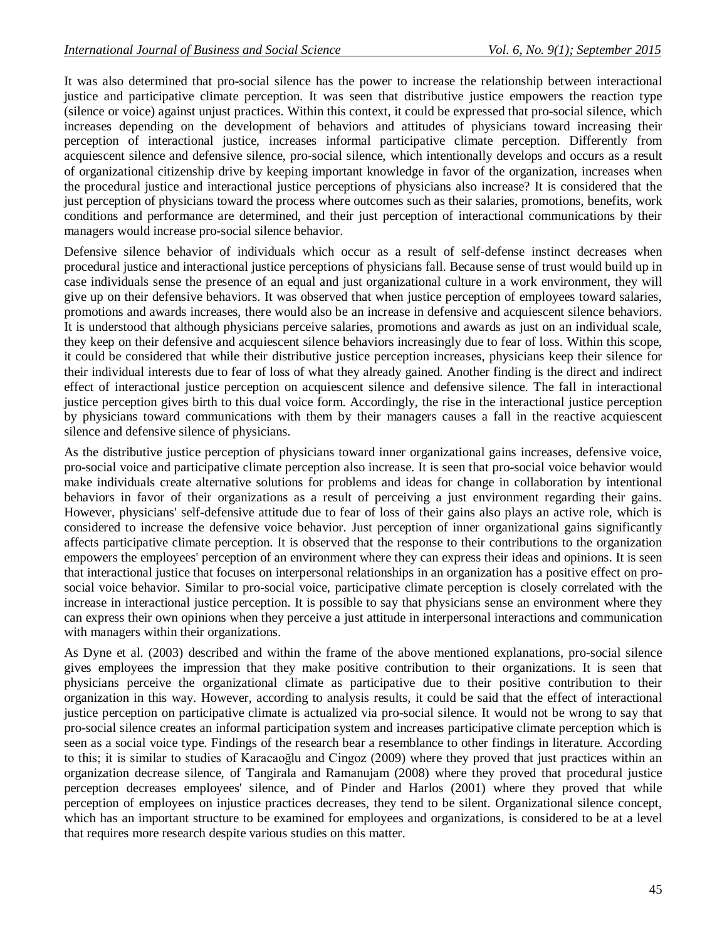It was also determined that pro-social silence has the power to increase the relationship between interactional justice and participative climate perception. It was seen that distributive justice empowers the reaction type (silence or voice) against unjust practices. Within this context, it could be expressed that pro-social silence, which increases depending on the development of behaviors and attitudes of physicians toward increasing their perception of interactional justice, increases informal participative climate perception. Differently from acquiescent silence and defensive silence, pro-social silence, which intentionally develops and occurs as a result of organizational citizenship drive by keeping important knowledge in favor of the organization, increases when the procedural justice and interactional justice perceptions of physicians also increase? It is considered that the just perception of physicians toward the process where outcomes such as their salaries, promotions, benefits, work conditions and performance are determined, and their just perception of interactional communications by their managers would increase pro-social silence behavior.

Defensive silence behavior of individuals which occur as a result of self-defense instinct decreases when procedural justice and interactional justice perceptions of physicians fall. Because sense of trust would build up in case individuals sense the presence of an equal and just organizational culture in a work environment, they will give up on their defensive behaviors. It was observed that when justice perception of employees toward salaries, promotions and awards increases, there would also be an increase in defensive and acquiescent silence behaviors. It is understood that although physicians perceive salaries, promotions and awards as just on an individual scale, they keep on their defensive and acquiescent silence behaviors increasingly due to fear of loss. Within this scope, it could be considered that while their distributive justice perception increases, physicians keep their silence for their individual interests due to fear of loss of what they already gained. Another finding is the direct and indirect effect of interactional justice perception on acquiescent silence and defensive silence. The fall in interactional justice perception gives birth to this dual voice form. Accordingly, the rise in the interactional justice perception by physicians toward communications with them by their managers causes a fall in the reactive acquiescent silence and defensive silence of physicians.

As the distributive justice perception of physicians toward inner organizational gains increases, defensive voice, pro-social voice and participative climate perception also increase. It is seen that pro-social voice behavior would make individuals create alternative solutions for problems and ideas for change in collaboration by intentional behaviors in favor of their organizations as a result of perceiving a just environment regarding their gains. However, physicians' self-defensive attitude due to fear of loss of their gains also plays an active role, which is considered to increase the defensive voice behavior. Just perception of inner organizational gains significantly affects participative climate perception. It is observed that the response to their contributions to the organization empowers the employees' perception of an environment where they can express their ideas and opinions. It is seen that interactional justice that focuses on interpersonal relationships in an organization has a positive effect on prosocial voice behavior. Similar to pro-social voice, participative climate perception is closely correlated with the increase in interactional justice perception. It is possible to say that physicians sense an environment where they can express their own opinions when they perceive a just attitude in interpersonal interactions and communication with managers within their organizations.

As Dyne et al. (2003) described and within the frame of the above mentioned explanations, pro-social silence gives employees the impression that they make positive contribution to their organizations. It is seen that physicians perceive the organizational climate as participative due to their positive contribution to their organization in this way. However, according to analysis results, it could be said that the effect of interactional justice perception on participative climate is actualized via pro-social silence. It would not be wrong to say that pro-social silence creates an informal participation system and increases participative climate perception which is seen as a social voice type. Findings of the research bear a resemblance to other findings in literature. According to this; it is similar to studies of Karacaoğlu and Cingoz (2009) where they proved that just practices within an organization decrease silence, of Tangirala and Ramanujam (2008) where they proved that procedural justice perception decreases employees' silence, and of Pinder and Harlos (2001) where they proved that while perception of employees on injustice practices decreases, they tend to be silent. Organizational silence concept, which has an important structure to be examined for employees and organizations, is considered to be at a level that requires more research despite various studies on this matter.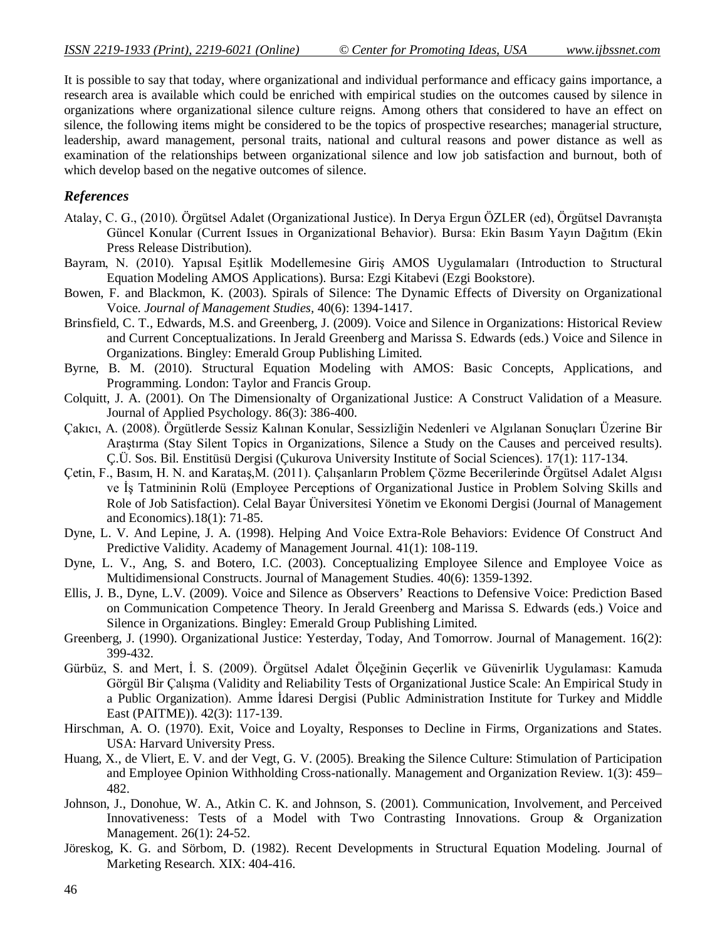It is possible to say that today, where organizational and individual performance and efficacy gains importance, a research area is available which could be enriched with empirical studies on the outcomes caused by silence in organizations where organizational silence culture reigns. Among others that considered to have an effect on silence, the following items might be considered to be the topics of prospective researches; managerial structure, leadership, award management, personal traits, national and cultural reasons and power distance as well as examination of the relationships between organizational silence and low job satisfaction and burnout, both of which develop based on the negative outcomes of silence.

### *References*

- Atalay, C. G., (2010). Örgütsel Adalet (Organizational Justice). In Derya Ergun ÖZLER (ed), Örgütsel Davranışta Güncel Konular (Current Issues in Organizational Behavior). Bursa: Ekin Basım Yayın Dağıtım (Ekin Press Release Distribution).
- Bayram, N. (2010). Yapısal Eşitlik Modellemesine Giriş AMOS Uygulamaları (Introduction to Structural Equation Modeling AMOS Applications). Bursa: Ezgi Kitabevi (Ezgi Bookstore).
- Bowen, F. and Blackmon, K. (2003). Spirals of Silence: The Dynamic Effects of Diversity on Organizational Voice. *Journal of Management Studies,* 40(6): 1394-1417.
- Brinsfield, C. T., Edwards, M.S. and Greenberg, J. (2009). Voice and Silence in Organizations: Historical Review and Current Conceptualizations. In Jerald Greenberg and Marissa S. Edwards (eds.) Voice and Silence in Organizations. Bingley: Emerald Group Publishing Limited.
- Byrne, B. M. (2010). Structural Equation Modeling with AMOS: Basic Concepts, Applications, and Programming. London: Taylor and Francis Group.
- Colquitt, J. A. (2001). On The Dimensionalty of Organizational Justice: A Construct Validation of a Measure. Journal of Applied Psychology. 86(3): 386-400.
- Çakıcı, A. (2008). Örgütlerde Sessiz Kalınan Konular, Sessizliğin Nedenleri ve Algılanan Sonuçları Üzerine Bir Araştırma (Stay Silent Topics in Organizations, Silence a Study on the Causes and perceived results). Ç.Ü. Sos. Bil. Enstitüsü Dergisi (Çukurova University Institute of Social Sciences). 17(1): 117-134.
- Çetin, F., Basım, H. N. and Karataş,M. (2011). Çalışanların Problem Çözme Becerilerinde Örgütsel Adalet Algısı ve İş Tatmininin Rolü (Employee Perceptions of Organizational Justice in Problem Solving Skills and Role of Job Satisfaction). Celal Bayar Üniversitesi Yönetim ve Ekonomi Dergisi (Journal of Management and Economics).18(1): 71-85.
- Dyne, L. V. And Lepine, J. A. (1998). Helping And Voice Extra-Role Behaviors: Evidence Of Construct And Predictive Validity. Academy of Management Journal. 41(1): 108-119.
- Dyne, L. V., Ang, S. and Botero, I.C. (2003). Conceptualizing Employee Silence and Employee Voice as Multidimensional Constructs. Journal of Management Studies. 40(6): 1359-1392.
- Ellis, J. B., Dyne, L.V. (2009). Voice and Silence as Observers' Reactions to Defensive Voice: Prediction Based on Communication Competence Theory. In Jerald Greenberg and Marissa S. Edwards (eds.) Voice and Silence in Organizations. Bingley: Emerald Group Publishing Limited.
- Greenberg, J. (1990). Organizational Justice: Yesterday, Today, And Tomorrow. Journal of Management. 16(2): 399-432.
- Gürbüz, S. and Mert, İ. S. (2009). Örgütsel Adalet Ölçeğinin Geçerlik ve Güvenirlik Uygulaması: Kamuda Görgül Bir Çalışma (Validity and Reliability Tests of Organizational Justice Scale: An Empirical Study in a Public Organization). Amme İdaresi Dergisi (Public Administration Institute for Turkey and Middle East (PAITME)). 42(3): 117-139.
- Hirschman, A. O. (1970). Exit, Voice and Loyalty, Responses to Decline in Firms, Organizations and States. USA: Harvard University Press.
- Huang, X., de Vliert, E. V. and der Vegt, G. V. (2005). Breaking the Silence Culture: Stimulation of Participation and Employee Opinion Withholding Cross-nationally. Management and Organization Review. 1(3): 459– 482.
- Johnson, J., Donohue, W. A., Atkin C. K. and Johnson, S. (2001). Communication, Involvement, and Perceived Innovativeness: Tests of a Model with Two Contrasting Innovations. Group & Organization Management. 26(1): 24-52.
- Jöreskog, K. G. and Sörbom, D. (1982). Recent Developments in Structural Equation Modeling. Journal of Marketing Research. XIX: 404-416.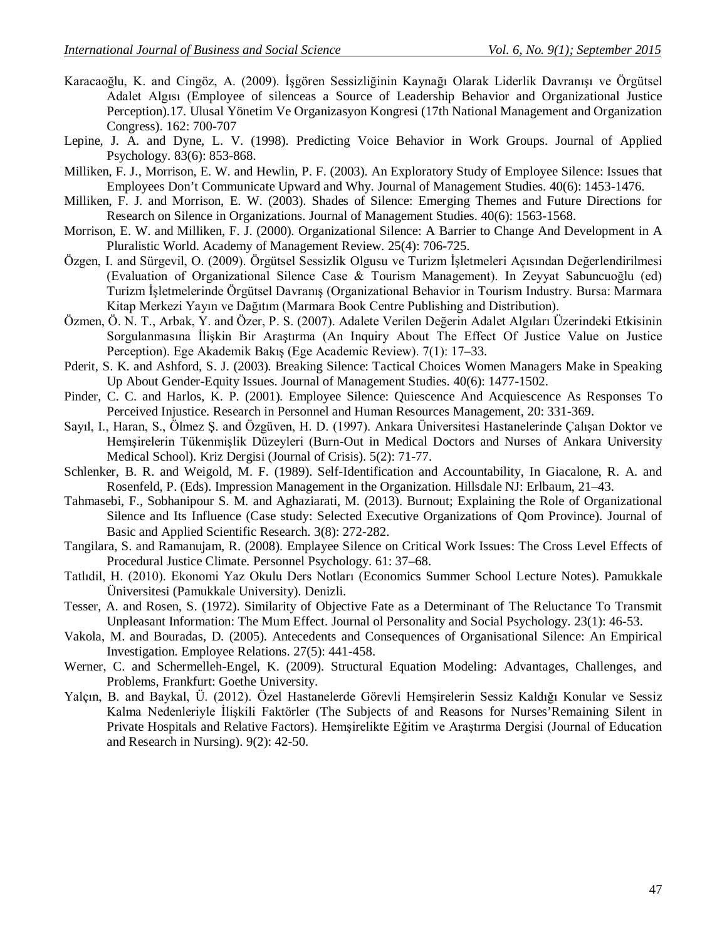- Karacaoğlu, K. and Cingöz, A. (2009). İşgören Sessizliğinin Kaynağı Olarak Liderlik Davranışı ve Örgütsel Adalet Algısı (Employee of silenceas a Source of Leadership Behavior and Organizational Justice Perception).17. Ulusal Yönetim Ve Organizasyon Kongresi (17th National Management and Organization Congress). 162: 700-707
- Lepine, J. A. and Dyne, L. V. (1998). Predicting Voice Behavior in Work Groups. Journal of Applied Psychology. 83(6): 853-868.
- Milliken, F. J., Morrison, E. W. and Hewlin, P. F. (2003). An Exploratory Study of Employee Silence: Issues that Employees Don't Communicate Upward and Why. Journal of Management Studies. 40(6): 1453-1476.
- Milliken, F. J. and Morrison, E. W. (2003). Shades of Silence: Emerging Themes and Future Directions for Research on Silence in Organizations. Journal of Management Studies. 40(6): 1563-1568.
- Morrison, E. W. and Milliken, F. J. (2000). Organizational Silence: A Barrier to Change And Development in A Pluralistic World. Academy of Management Review. 25(4): 706-725.
- Özgen, I. and Sürgevil, O. (2009). Örgütsel Sessizlik Olgusu ve Turizm İşletmeleri Açısından Değerlendirilmesi (Evaluation of Organizational Silence Case & Tourism Management). In Zeyyat Sabuncuoğlu (ed) Turizm İşletmelerinde Örgütsel Davranış (Organizational Behavior in Tourism Industry. Bursa: Marmara Kitap Merkezi Yayın ve Dağıtım (Marmara Book Centre Publishing and Distribution).
- Özmen, Ö. N. T., Arbak, Y. and Özer, P. S. (2007). Adalete Verilen Değerin Adalet Algıları Üzerindeki Etkisinin Sorgulanmasına İlişkin Bir Araştırma (An Inquiry About The Effect Of Justice Value on Justice Perception). Ege Akademik Bakış (Ege Academic Review). 7(1): 17–33.
- Pderit, S. K. and Ashford, S. J. (2003). Breaking Silence: Tactical Choices Women Managers Make in Speaking Up About Gender-Equity Issues. Journal of Management Studies. 40(6): 1477-1502.
- Pinder, C. C. and Harlos, K. P. (2001). Employee Silence: Quiescence And Acquiescence As Responses To Perceived Injustice. Research in Personnel and Human Resources Management, 20: 331-369.
- Sayıl, I., Haran, S., Ölmez Ş. and Özgüven, H. D. (1997). Ankara Üniversitesi Hastanelerinde Çalışan Doktor ve Hemşirelerin Tükenmişlik Düzeyleri (Burn-Out in Medical Doctors and Nurses of Ankara University Medical School). Kriz Dergisi (Journal of Crisis). 5(2): 71-77.
- Schlenker, B. R. and Weigold, M. F. (1989). Self-Identification and Accountability, In Giacalone, R. A. and Rosenfeld, P. (Eds). Impression Management in the Organization. Hillsdale NJ: Erlbaum, 21–43.
- Tahmasebi, F., Sobhanipour S. M. and Aghaziarati, M. (2013). Burnout; Explaining the Role of Organizational Silence and Its Influence (Case study: Selected Executive Organizations of Qom Province). Journal of Basic and Applied Scientific Research. 3(8): 272-282.
- Tangilara, S. and Ramanujam, R. (2008). Emplayee Silence on Critical Work Issues: The Cross Level Effects of Procedural Justice Climate. Personnel Psychology. 61: 37–68.
- Tatlıdil, H. (2010). Ekonomi Yaz Okulu Ders Notları (Economics Summer School Lecture Notes). Pamukkale Üniversitesi (Pamukkale University). Denizli.
- Tesser, A. and Rosen, S. (1972). Similarity of Objective Fate as a Determinant of The Reluctance To Transmit Unpleasant Information: The Mum Effect. Journal ol Personality and Social Psychology. 23(1): 46-53.
- Vakola, M. and Bouradas, D. (2005). Antecedents and Consequences of Organisational Silence: An Empirical Investigation. Employee Relations. 27(5): 441-458.
- Werner, C. and Schermelleh-Engel, K. (2009). Structural Equation Modeling: Advantages, Challenges, and Problems, Frankfurt: Goethe University.
- Yalçın, B. and Baykal, Ü. (2012). Özel Hastanelerde Görevli Hemşirelerin Sessiz Kaldığı Konular ve Sessiz Kalma Nedenleriyle İlişkili Faktörler (The Subjects of and Reasons for Nurses'Remaining Silent in Private Hospitals and Relative Factors). Hemşirelikte Eğitim ve Araştırma Dergisi (Journal of Education and Research in Nursing). 9(2): 42-50.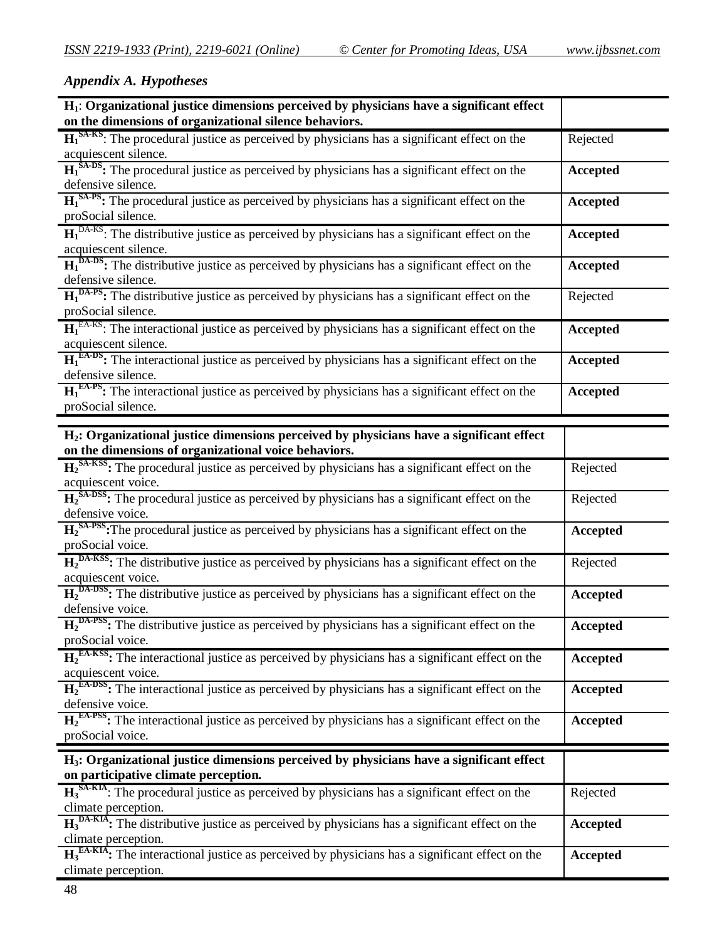# *Appendix A. Hypotheses*

| $H_1$ : Organizational justice dimensions perceived by physicians have a significant effect                                                         |                 |
|-----------------------------------------------------------------------------------------------------------------------------------------------------|-----------------|
| on the dimensions of organizational silence behaviors.                                                                                              |                 |
| $H_1^{SA-KS}$ : The procedural justice as perceived by physicians has a significant effect on the<br>acquiescent silence.                           | Rejected        |
| $H_1^{SA-DS}$ : The procedural justice as perceived by physicians has a significant effect on the                                                   | Accepted        |
| defensive silence.                                                                                                                                  |                 |
| $H_1^{SAPS}$ : The procedural justice as perceived by physicians has a significant effect on the<br>proSocial silence.                              | <b>Accepted</b> |
| $H_1^{DA-KS}$ : The distributive justice as perceived by physicians has a significant effect on the                                                 | <b>Accepted</b> |
| acquiescent silence.                                                                                                                                |                 |
| $H_1^{DA-DS}$ : The distributive justice as perceived by physicians has a significant effect on the<br>defensive silence.                           | <b>Accepted</b> |
| $H_1^{DA-PS}$ : The distributive justice as perceived by physicians has a significant effect on the                                                 | Rejected        |
| proSocial silence.                                                                                                                                  |                 |
| $H_1^{E\text{A-KS}}$ : The interactional justice as perceived by physicians has a significant effect on the<br>acquiescent silence.                 | Accepted        |
| $H_1^{E\text{A-DS}}$ : The interactional justice as perceived by physicians has a significant effect on the<br>defensive silence.                   | <b>Accepted</b> |
| $H_1^{E\text{A-PS}}$ : The interactional justice as perceived by physicians has a significant effect on the                                         | Accepted        |
| proSocial silence.                                                                                                                                  |                 |
|                                                                                                                                                     |                 |
| $H_2$ : Organizational justice dimensions perceived by physicians have a significant effect<br>on the dimensions of organizational voice behaviors. |                 |
| $H_2^{SA-KSS}$ : The procedural justice as perceived by physicians has a significant effect on the                                                  | Rejected        |
| acquiescent voice.                                                                                                                                  |                 |
| $H_2$ <sup>SA-DSS</sup> : The procedural justice as perceived by physicians has a significant effect on the                                         | Rejected        |
| defensive voice.                                                                                                                                    |                 |
| $H_2^{SAPSS}$ : The procedural justice as perceived by physicians has a significant effect on the<br>proSocial voice.                               | <b>Accepted</b> |
|                                                                                                                                                     |                 |
| $H_2^{DA-KSS}$ : The distributive justice as perceived by physicians has a significant effect on the<br>acquiescent voice.                          | Rejected        |
| $H_2^{\text{DA-DSS}}$ : The distributive justice as perceived by physicians has a significant effect on the                                         | Accepted        |
| defensive voice.                                                                                                                                    |                 |
| $H_2^{DA-PSS}$ : The distributive justice as perceived by physicians has a significant effect on the                                                | <b>Accepted</b> |
| proSocial voice.                                                                                                                                    |                 |
| $H_2^{E\text{A-KSS}}$ : The interactional justice as perceived by physicians has a significant effect on the<br>acquiescent voice.                  | <b>Accepted</b> |
| $H_2^{E\text{A-DSS}}$ : The interactional justice as perceived by physicians has a significant effect on the                                        | Accepted        |
| defensive voice.                                                                                                                                    |                 |
| $H_2^{E\text{A-PSS}}$ : The interactional justice as perceived by physicians has a significant effect on the                                        | <b>Accepted</b> |
| proSocial voice.                                                                                                                                    |                 |
| H <sub>3</sub> : Organizational justice dimensions perceived by physicians have a significant effect                                                |                 |
| on participative climate perception.                                                                                                                |                 |
| $H_3^{\text{SA-KIA}}$ : The procedural justice as perceived by physicians has a significant effect on the                                           | Rejected        |
| climate perception.                                                                                                                                 |                 |
| $H_3^{\text{DA-KIA}}$ : The distributive justice as perceived by physicians has a significant effect on the                                         | Accepted        |
| climate perception.                                                                                                                                 |                 |
| $H_3^{\text{EA-KIA}}$ : The interactional justice as perceived by physicians has a significant effect on the                                        | Accepted        |
| climate perception.                                                                                                                                 |                 |